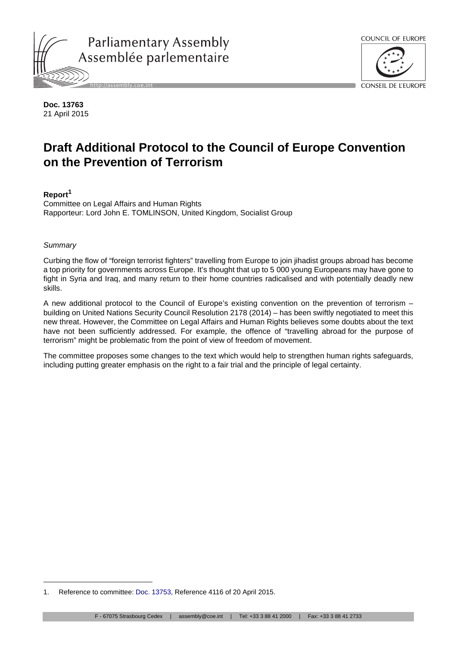



**Doc. 13763** 21 April 2015

# **Draft Additional Protocol to the Council of Europe Convention on the Prevention of Terrorism**

# **Report<sup>1</sup>**

Committee on Legal Affairs and Human Rights Rapporteur: Lord John E. TOMLINSON, United Kingdom, Socialist Group

*Summary*

Curbing the flow of "foreign terrorist fighters" travelling from Europe to join jihadist groups abroad has become a top priority for governments across Europe. It's thought that up to 5 000 young Europeans may have gone to fight in Syria and Iraq, and many return to their home countries radicalised and with potentially deadly new skills.

A new additional protocol to the Council of Europe's existing convention on the prevention of terrorism – building on United Nations Security Council Resolution 2178 (2014) – has been swiftly negotiated to meet this new threat. However, the Committee on Legal Affairs and Human Rights believes some doubts about the text have not been sufficiently addressed. For example, the offence of "travelling abroad for the purpose of terrorism" might be problematic from the point of view of freedom of movement.

The committee proposes some changes to the text which would help to strengthen human rights safeguards, including putting greater emphasis on the right to a fair trial and the principle of legal certainty.

<sup>1.</sup> Reference to committee: [Doc. 13753,](http://assembly.coe.int/ASP/Doc/XrefViewHTML.asp?FileId=21653&Language=en) Reference 4116 of 20 April 2015.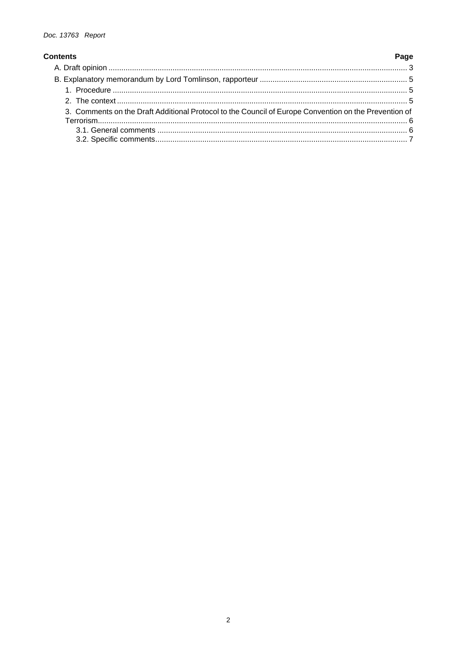## Page **Contents** 3. Comments on the Draft Additional Protocol to the Council of Europe Convention on the Prevention of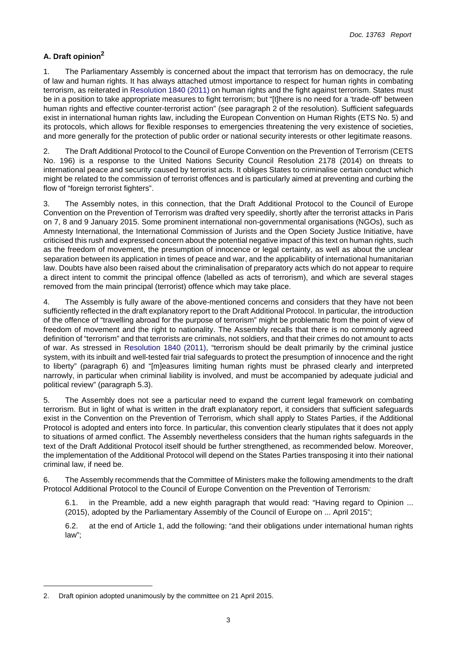# <span id="page-2-0"></span>**A. Draft opinion<sup>2</sup>**

1. The Parliamentary Assembly is concerned about the impact that terrorism has on democracy, the rule of law and human rights. It has always attached utmost importance to respect for human rights in combating terrorism, as reiterated in [Resolution 1840 \(2011\)](http://assembly.coe.int/ASP/Doc/XrefViewHTML.asp?FileId=18036&Language=en) on human rights and the fight against terrorism. States must be in a position to take appropriate measures to fight terrorism; but "[t]here is no need for a 'trade-off' between human rights and effective counter-terrorist action" (see paragraph 2 of the resolution). Sufficient safeguards exist in international human rights law, including the European Convention on Human Rights (ETS No. 5) and its protocols, which allows for flexible responses to emergencies threatening the very existence of societies, and more generally for the protection of public order or national security interests or other legitimate reasons.

2. The Draft Additional Protocol to the Council of Europe Convention on the Prevention of Terrorism (CETS No. 196) is a response to the United Nations Security Council Resolution 2178 (2014) on threats to international peace and security caused by terrorist acts. It obliges States to criminalise certain conduct which might be related to the commission of terrorist offences and is particularly aimed at preventing and curbing the flow of "foreign terrorist fighters".

3. The Assembly notes, in this connection, that the Draft Additional Protocol to the Council of Europe Convention on the Prevention of Terrorism was drafted very speedily, shortly after the terrorist attacks in Paris on 7, 8 and 9 January 2015. Some prominent international non-governmental organisations (NGOs), such as Amnesty International, the International Commission of Jurists and the Open Society Justice Initiative, have criticised this rush and expressed concern about the potential negative impact of this text on human rights, such as the freedom of movement, the presumption of innocence or legal certainty, as well as about the unclear separation between its application in times of peace and war, and the applicability of international humanitarian law. Doubts have also been raised about the criminalisation of preparatory acts which do not appear to require a direct intent to commit the principal offence (labelled as acts of terrorism), and which are several stages removed from the main principal (terrorist) offence which may take place.

4. The Assembly is fully aware of the above-mentioned concerns and considers that they have not been sufficiently reflected in the draft explanatory report to the Draft Additional Protocol. In particular, the introduction of the offence of "travelling abroad for the purpose of terrorism" might be problematic from the point of view of freedom of movement and the right to nationality. The Assembly recalls that there is no commonly agreed definition of "terrorism" and that terrorists are criminals, not soldiers, and that their crimes do not amount to acts of war. As stressed in [Resolution 1840 \(2011\)](http://assembly.coe.int/ASP/Doc/XrefViewHTML.asp?FileId=18036&Language=en), "terrorism should be dealt primarily by the criminal justice system, with its inbuilt and well-tested fair trial safeguards to protect the presumption of innocence and the right to liberty" (paragraph 6) and "[m]easures limiting human rights must be phrased clearly and interpreted narrowly, in particular when criminal liability is involved, and must be accompanied by adequate judicial and political review" (paragraph 5.3).

5. The Assembly does not see a particular need to expand the current legal framework on combating terrorism. But in light of what is written in the draft explanatory report, it considers that sufficient safeguards exist in the Convention on the Prevention of Terrorism, which shall apply to States Parties, if the Additional Protocol is adopted and enters into force. In particular, this convention clearly stipulates that it does not apply to situations of armed conflict. The Assembly nevertheless considers that the human rights safeguards in the text of the Draft Additional Protocol itself should be further strengthened, as recommended below. Moreover, the implementation of the Additional Protocol will depend on the States Parties transposing it into their national criminal law, if need be.

6. The Assembly recommends that the Committee of Ministers make the following amendments to the draft Protocol Additional Protocol to the Council of Europe Convention on the Prevention of Terrorism*:*

6.1. in the Preamble, add a new eighth paragraph that would read: "Having regard to Opinion ... (2015), adopted by the Parliamentary Assembly of the Council of Europe on ... April 2015";

6.2. at the end of Article 1, add the following: "and their obligations under international human rights law";

<sup>2.</sup> Draft opinion adopted unanimously by the committee on 21 April 2015.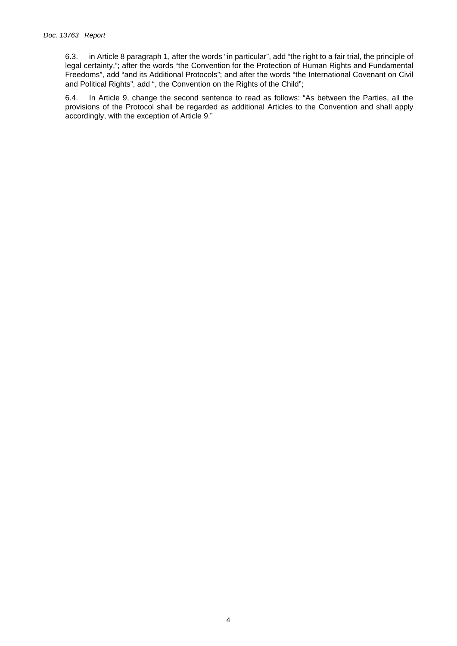6.3. in Article 8 paragraph 1, after the words "in particular", add "the right to a fair trial, the principle of legal certainty,"; after the words "the Convention for the Protection of Human Rights and Fundamental Freedoms", add "and its Additional Protocols"; and after the words "the International Covenant on Civil and Political Rights", add ", the Convention on the Rights of the Child";

6.4. In Article 9, change the second sentence to read as follows: "As between the Parties, all the provisions of the Protocol shall be regarded as additional Articles to the Convention and shall apply accordingly, with the exception of Article 9."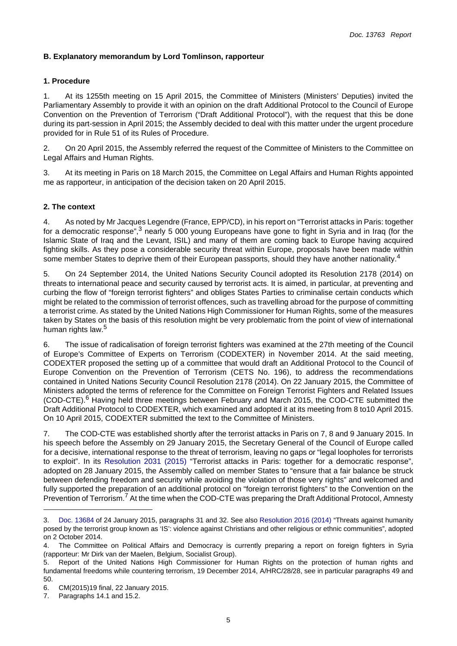## <span id="page-4-0"></span>**B. Explanatory memorandum by Lord Tomlinson, rapporteur**

#### <span id="page-4-1"></span>**1. Procedure**

1. At its 1255th meeting on 15 April 2015, the Committee of Ministers (Ministers' Deputies) invited the Parliamentary Assembly to provide it with an opinion on the draft Additional Protocol to the Council of Europe Convention on the Prevention of Terrorism ("Draft Additional Protocol"), with the request that this be done during its part-session in April 2015; the Assembly decided to deal with this matter under the urgent procedure provided for in Rule 51 of its Rules of Procedure.

2. On 20 April 2015, the Assembly referred the request of the Committee of Ministers to the Committee on Legal Affairs and Human Rights.

3. At its meeting in Paris on 18 March 2015, the Committee on Legal Affairs and Human Rights appointed me as rapporteur, in anticipation of the decision taken on 20 April 2015.

#### <span id="page-4-2"></span>**2. The context**

4. As noted by Mr Jacques Legendre (France, EPP/CD), in his report on "Terrorist attacks in Paris: together for a democratic response",<sup>3</sup> nearly 5 000 young Europeans have gone to fight in Syria and in Iraq (for the Islamic State of Iraq and the Levant, ISIL) and many of them are coming back to Europe having acquired fighting skills. As they pose a considerable security threat within Europe, proposals have been made within some member States to deprive them of their European passports, should they have another nationality.<sup>4</sup>

5. On 24 September 2014, the United Nations Security Council adopted its Resolution 2178 (2014) on threats to international peace and security caused by terrorist acts. It is aimed, in particular, at preventing and curbing the flow of "foreign terrorist fighters" and obliges States Parties to criminalise certain conducts which might be related to the commission of terrorist offences, such as travelling abroad for the purpose of committing a terrorist crime. As stated by the United Nations High Commissioner for Human Rights, some of the measures taken by States on the basis of this resolution might be very problematic from the point of view of international human rights law.<sup>5</sup>

6. The issue of radicalisation of foreign terrorist fighters was examined at the 27th meeting of the Council of Europe's Committee of Experts on Terrorism (CODEXTER) in November 2014. At the said meeting, CODEXTER proposed the setting up of a committee that would draft an Additional Protocol to the Council of Europe Convention on the Prevention of Terrorism (CETS No. 196), to address the recommendations contained in United Nations Security Council Resolution 2178 (2014). On 22 January 2015, the Committee of Ministers adopted the terms of reference for the Committee on Foreign Terrorist Fighters and Related Issues (COD-CTE).<sup>6</sup> Having held three meetings between February and March 2015, the COD-CTE submitted the Draft Additional Protocol to CODEXTER, which examined and adopted it at its meeting from 8 to10 April 2015. On 10 April 2015, CODEXTER submitted the text to the Committee of Ministers.

7. The COD-CTE was established shortly after the terrorist attacks in Paris on 7, 8 and 9 January 2015. In his speech before the Assembly on 29 January 2015, the Secretary General of the Council of Europe called for a decisive, international response to the threat of terrorism, leaving no gaps or "legal loopholes for terrorists to exploit". In its [Resolution 2031 \(2015\)](http://assembly.coe.int/ASP/Doc/XrefViewHTML.asp?FileId=21521&Language=en) "Terrorist attacks in Paris: together for a democratic response", adopted on 28 January 2015, the Assembly called on member States to "ensure that a fair balance be struck between defending freedom and security while avoiding the violation of those very rights" and welcomed and fully supported the preparation of an additional protocol on "foreign terrorist fighters" to the Convention on the Prevention of Terrorism.<sup>7</sup> At the time when the COD-CTE was preparing the Draft Additional Protocol, Amnesty

<sup>3.</sup> [Doc. 13684](http://assembly.coe.int/ASP/Doc/XrefViewHTML.asp?FileId=21444&Language=en) of 24 January 2015, paragraphs 31 and 32. See also [Resolution 2016 \(2014\)](http://assembly.coe.int/ASP/Doc/XrefViewHTML.asp?FileId=21279&Language=en) "Threats against humanity posed by the terrorist group known as 'IS': violence against Christians and other religious or ethnic communities", adopted on 2 October 2014.

<sup>4.</sup> The Committee on Political Affairs and Democracy is currently preparing a report on foreign fighters in Syria (rapporteur: Mr Dirk van der Maelen, Belgium, Socialist Group).

<sup>5.</sup> Report of the United Nations High Commissioner for Human Rights on the protection of human rights and fundamental freedoms while countering terrorism, 19 December 2014, A/HRC/28/28, see in particular paragraphs 49 and 50.

<sup>6.</sup> CM(2015)19 final, 22 January 2015.

<sup>7.</sup> Paragraphs 14.1 and 15.2.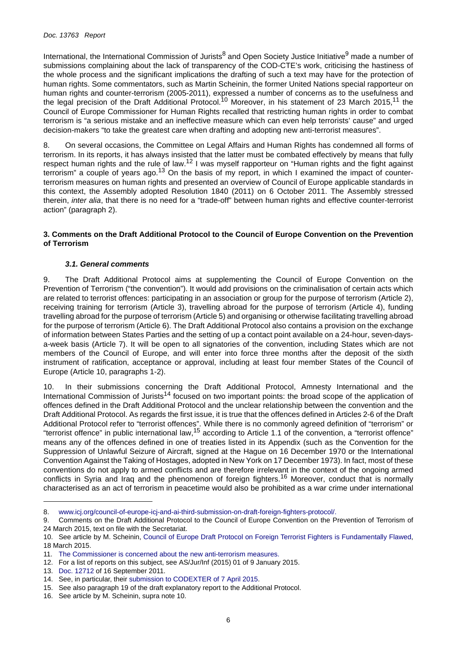International, the International Commission of Jurists<sup>8</sup> and Open Society Justice Initiative<sup>9</sup> made a number of submissions complaining about the lack of transparency of the COD-CTE's work, criticising the hastiness of the whole process and the significant implications the drafting of such a text may have for the protection of human rights. Some commentators, such as Martin Scheinin, the former United Nations special rapporteur on human rights and counter-terrorism (2005-2011), expressed a number of concerns as to the usefulness and the legal precision of the Draft Additional Protocol.<sup>10</sup> Moreover, in his statement of 23 March 2015,<sup>11</sup> the Council of Europe Commissioner for Human Rights recalled that restricting human rights in order to combat terrorism is "a serious mistake and an ineffective measure which can even help terrorists' cause" and urged decision-makers "to take the greatest care when drafting and adopting new anti-terrorist measures".

8. On several occasions, the Committee on Legal Affairs and Human Rights has condemned all forms of terrorism. In its reports, it has always insisted that the latter must be combated effectively by means that fully respect human rights and the rule of law.<sup>12</sup> I was myself rapporteur on "Human rights and the fight against terrorism" a couple of years ago.<sup>13</sup> On the basis of my report, in which I examined the impact of counterterrorism measures on human rights and presented an overview of Council of Europe applicable standards in this context, the Assembly adopted Resolution 1840 (2011) on 6 October 2011. The Assembly stressed therein, *inter alia*, that there is no need for a "trade-off" between human rights and effective counter-terrorist action" (paragraph 2).

#### <span id="page-5-0"></span>**3. Comments on the Draft Additional Protocol to the Council of Europe Convention on the Prevention of Terrorism**

### *3.1. General comments*

<span id="page-5-1"></span>9. The Draft Additional Protocol aims at supplementing the Council of Europe Convention on the Prevention of Terrorism ("the convention"). It would add provisions on the criminalisation of certain acts which are related to terrorist offences: participating in an association or group for the purpose of terrorism (Article 2), receiving training for terrorism (Article 3), travelling abroad for the purpose of terrorism (Article 4), funding travelling abroad for the purpose of terrorism (Article 5) and organising or otherwise facilitating travelling abroad for the purpose of terrorism (Article 6). The Draft Additional Protocol also contains a provision on the exchange of information between States Parties and the setting of up a contact point available on a 24-hour, seven-daysa-week basis (Article 7). It will be open to all signatories of the convention, including States which are not members of the Council of Europe, and will enter into force three months after the deposit of the sixth instrument of ratification, acceptance or approval, including at least four member States of the Council of Europe (Article 10, paragraphs 1-2).

10. In their submissions concerning the Draft Additional Protocol, Amnesty International and the International Commission of Jurists<sup>14</sup> focused on two important points: the broad scope of the application of offences defined in the Draft Additional Protocol and the unclear relationship between the convention and the Draft Additional Protocol. As regards the first issue, it is true that the offences defined in Articles 2-6 of the Draft Additional Protocol refer to "terrorist offences". While there is no commonly agreed definition of "terrorism" or "terrorist offence" in public international law,15 according to Article 1.1 of the convention, a "terrorist offence" means any of the offences defined in one of treaties listed in its Appendix (such as the Convention for the Suppression of Unlawful Seizure of Aircraft, signed at the Hague on 16 December 1970 or the International Convention Against the Taking of Hostages, adopted in New York on 17 December 1973). In fact, most of these conventions do not apply to armed conflicts and are therefore irrelevant in the context of the ongoing armed conflicts in Syria and Iraq and the phenomenon of foreign fighters.<sup>16</sup> Moreover, conduct that is normally characterised as an act of terrorism in peacetime would also be prohibited as a war crime under international

16. See article by M. Scheinin, supra note 10.

<sup>8.</sup> [www.icj.org/council-of-europe-icj-and-ai-third-submission-on-draft-foreign-fighters-protocol/.](http://www.icj.org/council-of-europe-icj-and-ai-third-submission-on-draft-foreign-fighters-protocol/)

<sup>9.</sup> Comments on the Draft Additional Protocol to the Council of Europe Convention on the Prevention of Terrorism of 24 March 2015, text on file with the Secretariat.

<sup>10.</sup> See article by M. Scheinin, [Council of Europe Draft Protocol on Foreign Terrorist Fighters is Fundamentally Flawed](http://justsecurity.org/21207/council-europe-draft-protocol-foreign-terrorist-fighters-fundamentally-flawed/), 18 March 2015.

<sup>11.</sup> [The Commissioner is concerned about the new anti-terrorism measures.](http://www.coe.int/en/web/commissioner/-/le-commissaire-s-inquiete-des-nouvelles-mesures-antiterrorisme)

<sup>12.</sup> For a list of reports on this subject, see AS/Jur/Inf (2015) 01 of 9 January 2015.

<sup>13.</sup> [Doc. 12712](http://assembly.coe.int/ASP/Doc/XrefViewHTML.asp?FileId=13156&Language=en) of 16 September 2011.

<sup>14.</sup> See, in particular, their [submission to CODEXTER of 7 April 2015](http://icj.wpengine.netdna-cdn.com/wp-content/uploads/2015/03/CouncilofEurope-Letter-ForeignFighters-Advocacy-Legal-Submission-2015-ENG.pdf).

<sup>15.</sup> See also paragraph 19 of the draft explanatory report to the Additional Protocol.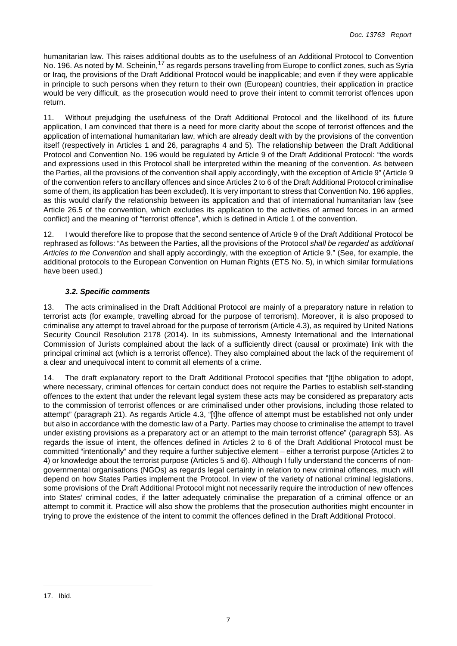humanitarian law. This raises additional doubts as to the usefulness of an Additional Protocol to Convention No. 196. As noted by M. Scheinin,<sup>17</sup> as regards persons travelling from Europe to conflict zones, such as Syria or Iraq, the provisions of the Draft Additional Protocol would be inapplicable; and even if they were applicable in principle to such persons when they return to their own (European) countries, their application in practice would be very difficult, as the prosecution would need to prove their intent to commit terrorist offences upon return.

11. Without prejudging the usefulness of the Draft Additional Protocol and the likelihood of its future application, I am convinced that there is a need for more clarity about the scope of terrorist offences and the application of international humanitarian law, which are already dealt with by the provisions of the convention itself (respectively in Articles 1 and 26, paragraphs 4 and 5). The relationship between the Draft Additional Protocol and Convention No. 196 would be regulated by Article 9 of the Draft Additional Protocol: "the words and expressions used in this Protocol shall be interpreted within the meaning of the convention. As between the Parties, all the provisions of the convention shall apply accordingly, with the exception of Article 9" (Article 9 of the convention refers to ancillary offences and since Articles 2 to 6 of the Draft Additional Protocol criminalise some of them, its application has been excluded). It is very important to stress that Convention No. 196 applies, as this would clarify the relationship between its application and that of international humanitarian law (see Article 26.5 of the convention, which excludes its application to the activities of armed forces in an armed conflict) and the meaning of "terrorist offence", which is defined in Article 1 of the convention.

12. I would therefore like to propose that the second sentence of Article 9 of the Draft Additional Protocol be rephrased as follows: "As between the Parties, all the provisions of the Protocol *shall be regarded as additional Articles to the Convention* and shall apply accordingly, with the exception of Article 9." (See, for example, the additional protocols to the European Convention on Human Rights (ETS No. 5), in which similar formulations have been used.)

# *3.2. Specific comments*

<span id="page-6-0"></span>13. The acts criminalised in the Draft Additional Protocol are mainly of a preparatory nature in relation to terrorist acts (for example, travelling abroad for the purpose of terrorism). Moreover, it is also proposed to criminalise any attempt to travel abroad for the purpose of terrorism (Article 4.3), as required by United Nations Security Council Resolution 2178 (2014). In its submissions, Amnesty International and the International Commission of Jurists complained about the lack of a sufficiently direct (causal or proximate) link with the principal criminal act (which is a terrorist offence). They also complained about the lack of the requirement of a clear and unequivocal intent to commit all elements of a crime.

14. The draft explanatory report to the Draft Additional Protocol specifies that "[t]he obligation to adopt, where necessary, criminal offences for certain conduct does not require the Parties to establish self-standing offences to the extent that under the relevant legal system these acts may be considered as preparatory acts to the commission of terrorist offences or are criminalised under other provisions, including those related to attempt" (paragraph 21). As regards Article 4.3, "[t]he offence of attempt must be established not only under but also in accordance with the domestic law of a Party. Parties may choose to criminalise the attempt to travel under existing provisions as a preparatory act or an attempt to the main terrorist offence" (paragraph 53). As regards the issue of intent, the offences defined in Articles 2 to 6 of the Draft Additional Protocol must be committed "intentionally" and they require a further subjective element – either a terrorist purpose (Articles 2 to 4) or knowledge about the terrorist purpose (Articles 5 and 6). Although I fully understand the concerns of nongovernmental organisations (NGOs) as regards legal certainty in relation to new criminal offences, much will depend on how States Parties implement the Protocol. In view of the variety of national criminal legislations, some provisions of the Draft Additional Protocol might not necessarily require the introduction of new offences into States' criminal codes, if the latter adequately criminalise the preparation of a criminal offence or an attempt to commit it. Practice will also show the problems that the prosecution authorities might encounter in trying to prove the existence of the intent to commit the offences defined in the Draft Additional Protocol.